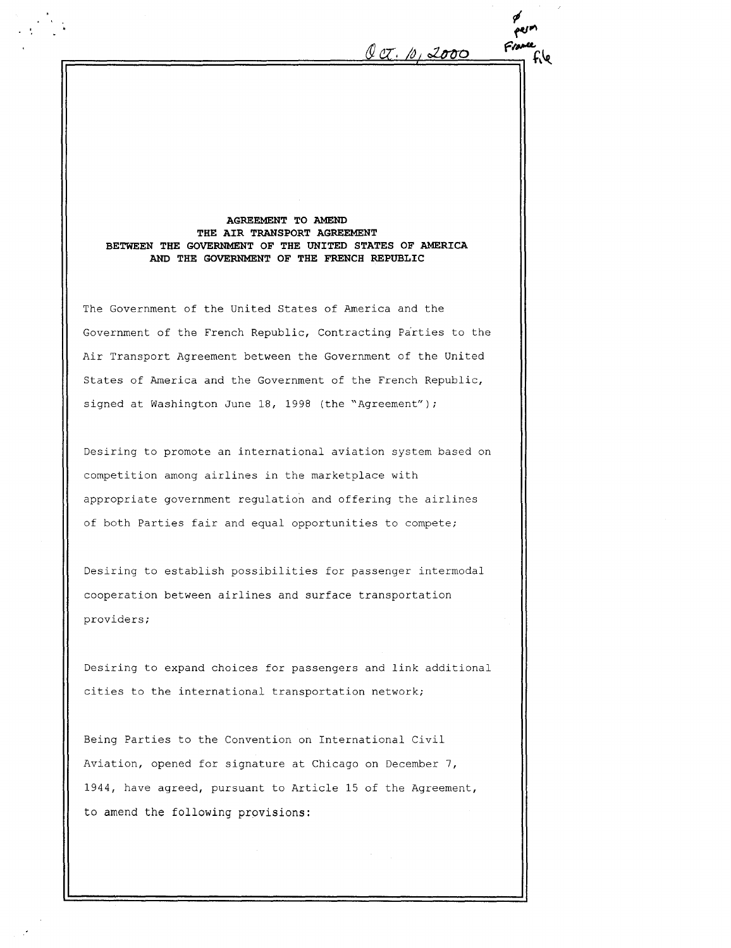$\ell\alpha$ . 10, 2000 AGREEMENT TO AMEND THE AIR TRANSPORT AGREEMENT BETWEEN THE GOVERNMENT OF THE UNITED STATES OF AMERICA AND THE GOVERNMENT OF THE FRENCH REPUBLIC The Government of the United States of America and the Government of the French Republic, Contracting Parties to the Air Transport Agreement between the Government of the United States of America and the Government of the French Republic, signed at Washington June 18, 1998 (the "Agreement") ; Desiring to promote an international aviation system based on competition among airlines in the marketplace with appropriate government regulation and offering the airlines of both Parties fair and equal opportunities to compete; Desiring to establish possibilities for passenger intermodal cooperation between airlines and surface transportation providers ; y<br>perm France

Desiring to expand choices for passengers and link additional cities to the international transportation network;

Being Parties to the Convention on International Civil Aviation, opened for signature at Chicago on December 7, 1944, have agreed, pursuant to Article 15 of the Agreement, to amend the following provisions: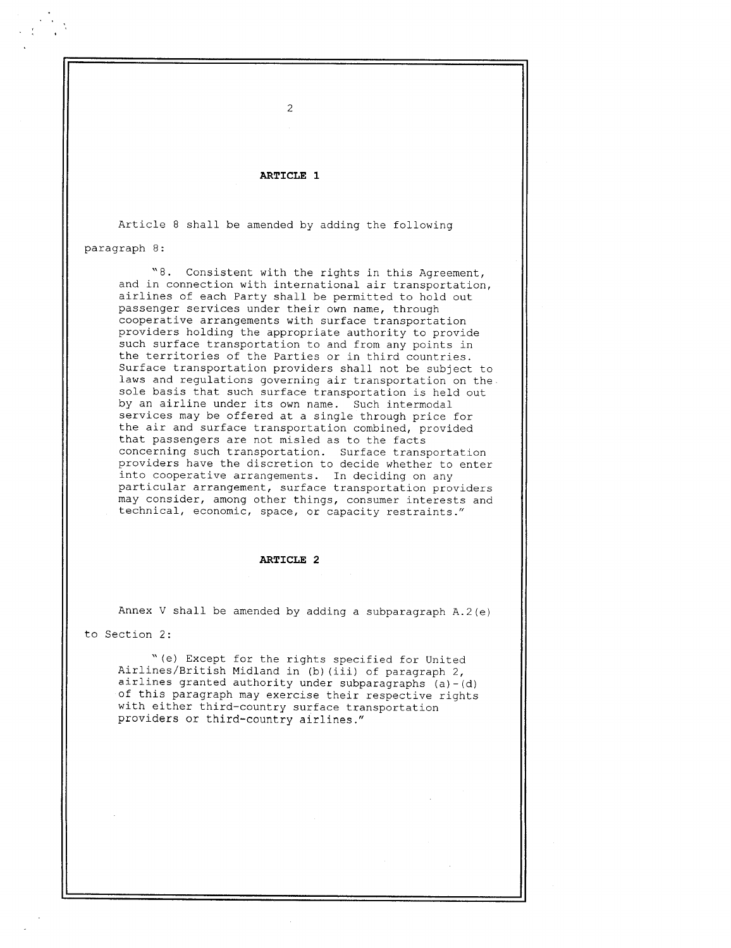## ARTICLE 1

2

Article 8 shall be amended by adding the following

paragraph <sup>8</sup> :

"8 . Consistent with the rights in this Agreement, and in connection with international air transportation, airlines of each Party shall be permitted to hold out passenger services under their own name, through cooperative arrangements with surface transportation providers holding the appropriate authority to provide such surface transportation to and from any points in the territories of the Parties or in third countries. Surface transportation providers shall not be subject to laws and regulations governing air transportation on the sole basis that such surface transportation is held out by an airline under its own name. Such intermodal services may be offered at <sup>a</sup> single through price for the air and surface transportation combined, provided that passengers are not misled as to the facts concerning such transportation . Surface transportation providers have the discretion to decide whether to enter into cooperative arrangements. In deciding on any particular arrangement, surface transportation providers may consider, among other things, consumer interests and technical, economic, space, or capacity restraints ."

#### ARTICLE 2

Annex V shall be amended by adding a subparagraph  $A.2(e)$ 

to Section 2:

"(e) Except for the rights specified for United Airlines/British Midland in (b) (iii) of paragraph 2, airlines granted authority under subparagraphs  $(a)-(d)$ of this paragraph may exercise their respective rights with either third-country surface transportation providers or third-country airlines ."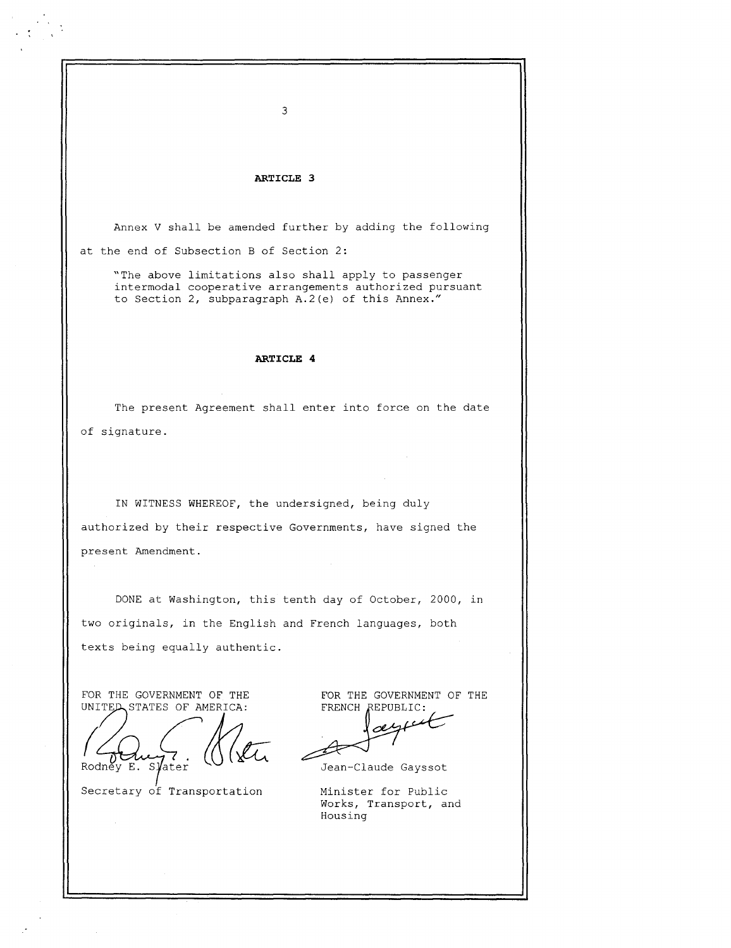# ARTICLE 3

Annex V shall be amended further by adding the following at the end of Subsection B of Section 2:

"The above limitations also shall apply to passenger intermodal cooperative arrangements authorized pursuant to Section 2, subparagraph A.2(e) of this Annex."

### ARTICLE 4

of signature . The present Agreement shall enter into force on the date

IN WITNESS WHEREOF, the undersigned, being duly authorized by their respective Governments, have signed the present Amendment .

DONE at Washington, this tenth day of October, 2000, in two originals, in the English and French languages, both texts being equally authentic.

FOR THE GOVERNMENT OF THE UNITED STATES OF AMERICA:

 

Rodney E. Slater

Secretary of Transportation Minister for Public

FOR THE GOVERNMENT OF THE FRENCH REPUBLIC:

.0 1

Jean-Claude Gayssot

Works, Transport, and Housing

3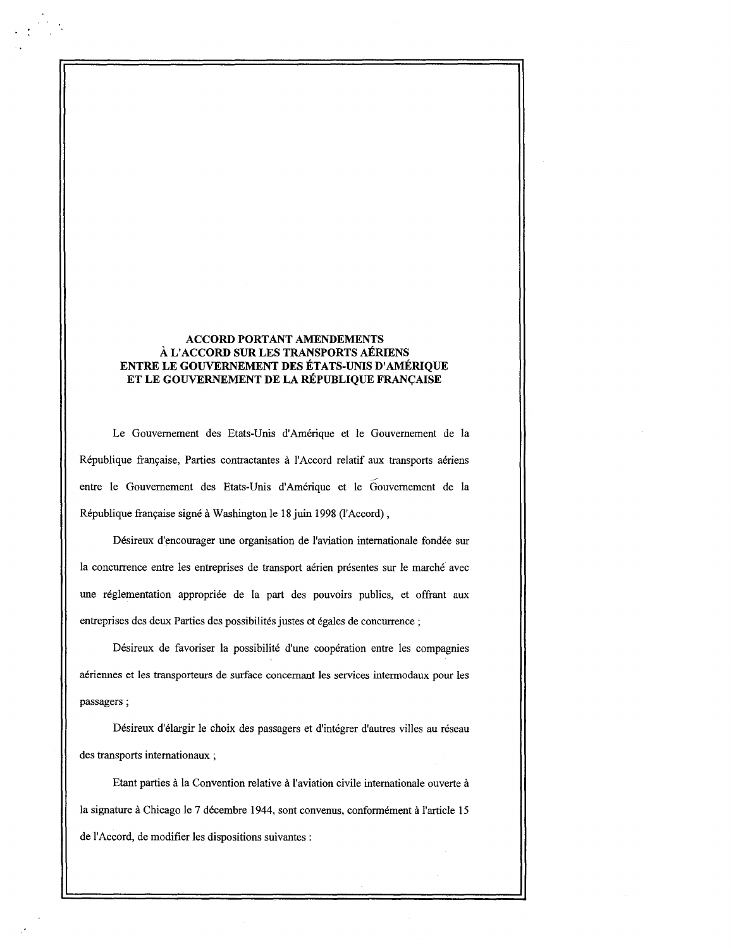# ACCORD PORTANT AMENDEMENTS A L'ACCORD SUR LES TRANSPORTS AERIENS ENTRE LE GOUVERNEMENT DES ETATS-UNIS D'AMERIQUE ET LE GOUVERNEMENT DE LA REPUBLIQUE FRANCAISE

Le Gouvernement des Etats-Unis d'Amerique et le Gouvernement de la Republique francaise, Parties contractantes a 1'Accord relatif aux transports aeriens entre le Gouvernement des Etats-Unis d'Amerique et le Gouvernement de la République française signé à Washington le 18 juin 1998 (l'Accord),

Desireux d'encourager une organisation de l'aviation internationale fondee sur la concurrence entre les entreprises de transport aerien presentes sur le marche avec une réglementation appropriée de la part des pouvoirs publics, et offrant aux entreprises des deux Parties des possibilités justes et égales de concurrence ;

Désireux de favoriser la possibilité d'une coopération entre les compagnies aériennes et les transporteurs de surface concernant les services intermodaux pour les passagers ;

Désireux d'élargir le choix des passagers et d'intégrer d'autres villes au réseau des transports internationaux ;

Etant parties a la Convention relative a 1'aviation civile internationale ouverte a la signature à Chicago le 7 décembre 1944, sont convenus, conformément à l'article 15 de l'Accord, de modifier les dispositions suivantes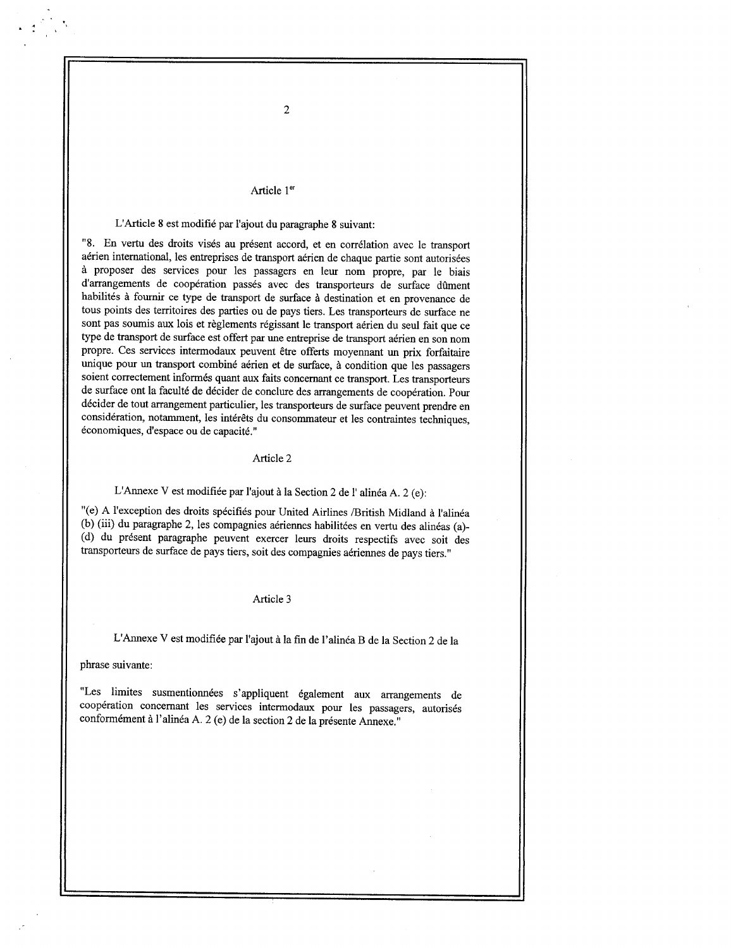#### Article <sup>l</sup> er

# L'Article 8 est modifié par l'ajout du paragraphe 8 suivant:

"8 . En vertu des droits vises au present accord, et en correlation avec le transport aérien international, les entreprises de transport aérien de chaque partie sont autorisées a proposer des services pour les passagers en leur nom propre, par le biais d'arrangements de coopération passés avec des transporteurs de surface dûment habilités à fournir ce type de transport de surface à destination et en provenance de tous points des territoires des parties ou de pays tiers . Les transporteurs de surface ne sont pas soumis aux lois et règlements régissant le transport aérien du seul fait que ce type de transport de surface est offert par une entreprise de transport aerien en son nom propre. Ces services intermodaux peuvent être offerts moyennant un prix forfaitaire unique pour un transport combine aerien et de surface, <sup>a</sup> condition que les passagers soient correctement informés quant aux faits concernant ce transport. Les transporteurs de surface ont la faculté de décider de conclure des arrangements de coopération. Pour decider de tout arrangement particulier, les transporteurs de surface peuvent prendre en considération, notamment, les intérêts du consommateur et les contraintes techniques, économiques, d'espace ou de capacité."

### Article 2

## L'Annexe V est modifiée par l'ajout à la Section 2 de l'alinéa A. 2 (e):

"(e) A l'exception des droits specifies pour United Airlines /British Midland <sup>a</sup> l'alinea (b) (iii) du paragraphe 2, les compagnies aériennes habilitées en vertu des alinéas (a)-(d) du present paragraphe peuvent exercer leurs droits respectifs avec soit des transporteurs de surface de pays tiers, soit des compagnies aeriennes de pays tiers ."

### Article 3

L'Annexe V est modifiee par l'ajout a la fm de l'alinea B de la Section 2 de la

#### phrase suivante:

"Les limites susmentionnées s'appliquent également aux arrangements de coopération concernant les services intermodaux pour les passagers, autorisés conformément à l'alinéa A. 2 (e) de la section 2 de la présente Annexe."